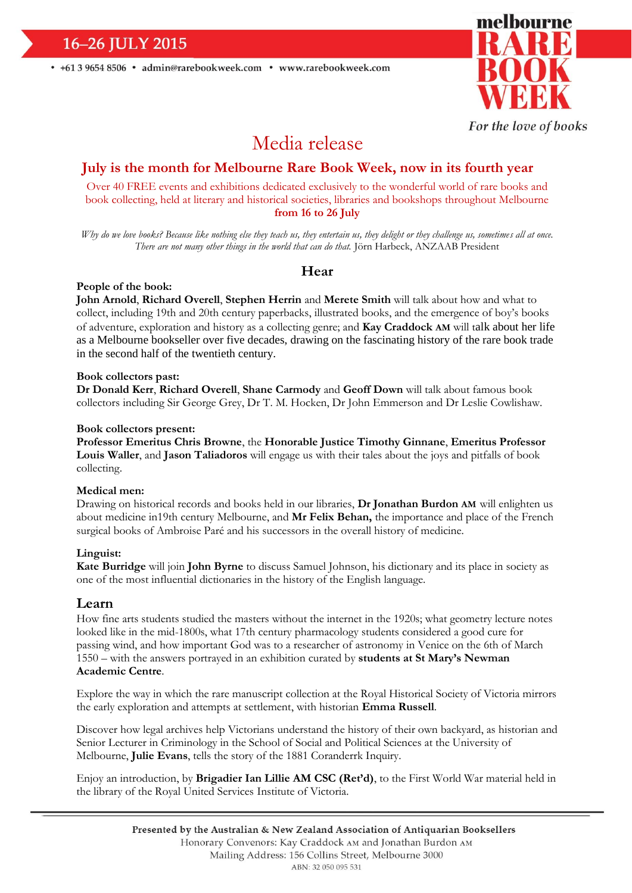16-26 JULY 2015

• +61 3 9654 8506 • admin@rarebookweek.com • www.rarebookweek.com



For the love of books

# Media release

## **July is the month for Melbourne Rare Book Week, now in its fourth year**

Over 40 FREE events and exhibitions dedicated exclusively to the wonderful world of rare books and book collecting, held at literary and historical societies, libraries and bookshops throughout Melbourne **from 16 to 26 July**

*Why do we love books? Because like nothing else they teach us, they entertain us, they delight or they challenge us, sometimes all at once. There are not many other things in the world that can do that.* Jörn Harbeck, ANZAAB President

### **Hear**

#### **People of the book:**

**John Arnold**, **Richard Overell**, **Stephen Herrin** and **Merete Smith** will talk about how and what to collect, including 19th and 20th century paperbacks, illustrated books, and the emergence of boy's books of adventure, exploration and history as a collecting genre; and **Kay Craddock AM** will talk about her life as a Melbourne bookseller over five decades, drawing on the fascinating history of the rare book trade in the second half of the twentieth century.

#### **Book collectors past:**

**Dr Donald Kerr**, **Richard Overell**, **Shane Carmody** and **Geoff Down** will talk about famous book collectors including Sir George Grey, Dr T. M. Hocken, Dr John Emmerson and Dr Leslie Cowlishaw.

#### **Book collectors present:**

**Professor Emeritus Chris Browne**, the **Honorable Justice Timothy Ginnane**, **Emeritus Professor Louis Waller**, and **Jason Taliadoros** will engage us with their tales about the joys and pitfalls of book collecting.

#### **Medical men:**

Drawing on historical records and books held in our libraries, **Dr Jonathan Burdon AM** will enlighten us about medicine in19th century Melbourne, and **Mr Felix Behan,** the importance and place of the French surgical books of Ambroise Paré and his successors in the overall history of medicine.

#### **Linguist:**

**Kate Burridge** will join **John Byrne** to discuss Samuel Johnson, his dictionary and its place in society as one of the most influential dictionaries in the history of the English language.

#### **Learn**

How fine arts students studied the masters without the internet in the 1920s; what geometry lecture notes looked like in the mid-1800s, what 17th century pharmacology students considered a good cure for passing wind, and how important God was to a researcher of astronomy in Venice on the 6th of March 1550 – with the answers portrayed in an exhibition curated by **students at St Mary's Newman Academic Centre**.

Explore the way in which the rare manuscript collection at the Royal Historical Society of Victoria mirrors the early exploration and attempts at settlement, with historian **Emma Russell**.

Discover how legal archives help Victorians understand the history of their own backyard, as historian and Senior Lecturer in Criminology in the School of Social and Political Sciences at the University of Melbourne, **Julie Evans**, tells the story of the 1881 Coranderrk Inquiry.

Enjoy an introduction, by **Brigadier Ian Lillie AM CSC (Ret'd)**, to the First World War material held in the library of the Royal United Services Institute of Victoria.